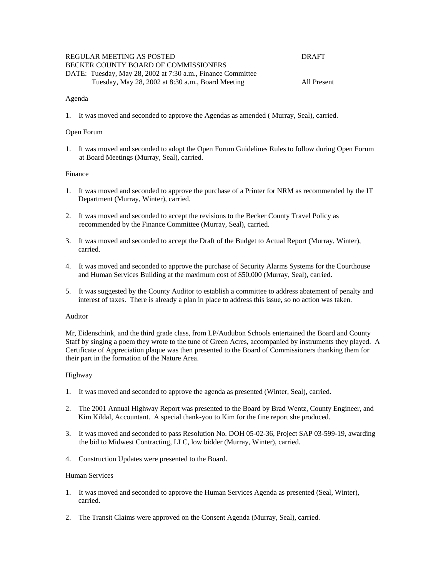| REGULAR MEETING AS POSTED                                   | DRAFT       |
|-------------------------------------------------------------|-------------|
| BECKER COUNTY BOARD OF COMMISSIONERS                        |             |
| DATE: Tuesday, May 28, 2002 at 7:30 a.m., Finance Committee |             |
| Tuesday, May 28, 2002 at 8:30 a.m., Board Meeting           | All Present |

#### Agenda

1. It was moved and seconded to approve the Agendas as amended ( Murray, Seal), carried.

#### Open Forum

1. It was moved and seconded to adopt the Open Forum Guidelines Rules to follow during Open Forum at Board Meetings (Murray, Seal), carried.

### Finance

- 1. It was moved and seconded to approve the purchase of a Printer for NRM as recommended by the IT Department (Murray, Winter), carried.
- 2. It was moved and seconded to accept the revisions to the Becker County Travel Policy as recommended by the Finance Committee (Murray, Seal), carried.
- 3. It was moved and seconded to accept the Draft of the Budget to Actual Report (Murray, Winter), carried.
- 4. It was moved and seconded to approve the purchase of Security Alarms Systems for the Courthouse and Human Services Building at the maximum cost of \$50,000 (Murray, Seal), carried.
- 5. It was suggested by the County Auditor to establish a committee to address abatement of penalty and interest of taxes. There is already a plan in place to address this issue, so no action was taken.

#### Auditor

Mr, Eidenschink, and the third grade class, from LP/Audubon Schools entertained the Board and County Staff by singing a poem they wrote to the tune of Green Acres, accompanied by instruments they played. A Certificate of Appreciation plaque was then presented to the Board of Commissioners thanking them for their part in the formation of the Nature Area.

### Highway

- 1. It was moved and seconded to approve the agenda as presented (Winter, Seal), carried.
- 2. The 2001 Annual Highway Report was presented to the Board by Brad Wentz, County Engineer, and Kim Kildal, Accountant. A special thank-you to Kim for the fine report she produced.
- 3. It was moved and seconded to pass Resolution No. DOH 05-02-36, Project SAP 03-599-19, awarding the bid to Midwest Contracting, LLC, low bidder (Murray, Winter), carried.
- 4. Construction Updates were presented to the Board.

#### Human Services

- 1. It was moved and seconded to approve the Human Services Agenda as presented (Seal, Winter), carried.
- 2. The Transit Claims were approved on the Consent Agenda (Murray, Seal), carried.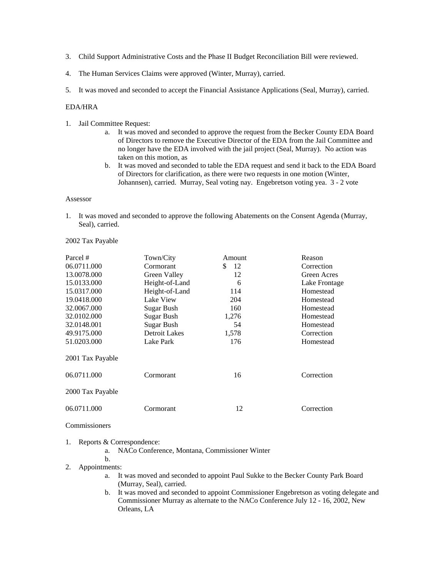- 3. Child Support Administrative Costs and the Phase II Budget Reconciliation Bill were reviewed.
- 4. The Human Services Claims were approved (Winter, Murray), carried.
- 5. It was moved and seconded to accept the Financial Assistance Applications (Seal, Murray), carried.

# EDA/HRA

- 1. Jail Committee Request:
	- a. It was moved and seconded to approve the request from the Becker County EDA Board of Directors to remove the Executive Director of the EDA from the Jail Committee and no longer have the EDA involved with the jail project (Seal, Murray). No action was taken on this motion, as
	- b. It was moved and seconded to table the EDA request and send it back to the EDA Board of Directors for clarification, as there were two requests in one motion (Winter, Johannsen), carried. Murray, Seal voting nay. Engebretson voting yea. 3 - 2 vote

#### Assessor

1. It was moved and seconded to approve the following Abatements on the Consent Agenda (Murray, Seal), carried.

### 2002 Tax Payable

| Parcel #         | Town/City      | Amount   | Reason             |
|------------------|----------------|----------|--------------------|
| 06.0711.000      | Cormorant      | \$<br>12 | Correction         |
| 13.0078.000      | Green Valley   | 12       | <b>Green Acres</b> |
| 15.0133.000      | Height-of-Land | 6        | Lake Frontage      |
| 15.0317.000      | Height-of-Land | 114      | Homestead          |
| 19.0418.000      | Lake View      | 204      | Homestead          |
| 32.0067.000      | Sugar Bush     | 160      | Homestead          |
| 32.0102.000      | Sugar Bush     | 1,276    | Homestead          |
| 32.0148.001      | Sugar Bush     | 54       | Homestead          |
| 49.9175.000      | Detroit Lakes  | 1,578    | Correction         |
| 51.0203.000      | Lake Park      | 176      | Homestead          |
| 2001 Tax Payable |                |          |                    |
| 06.0711.000      | Cormorant      | 16       | Correction         |
| 2000 Tax Payable |                |          |                    |
| 06.0711.000      | Cormorant      | 12       | Correction         |

# **Commissioners**

### 1. Reports & Correspondence:

a. NACo Conference, Montana, Commissioner Winter

b.

- 2. Appointments:
	- a. It was moved and seconded to appoint Paul Sukke to the Becker County Park Board (Murray, Seal), carried.
	- b. It was moved and seconded to appoint Commissioner Engebretson as voting delegate and Commissioner Murray as alternate to the NACo Conference July 12 - 16, 2002, New Orleans, LA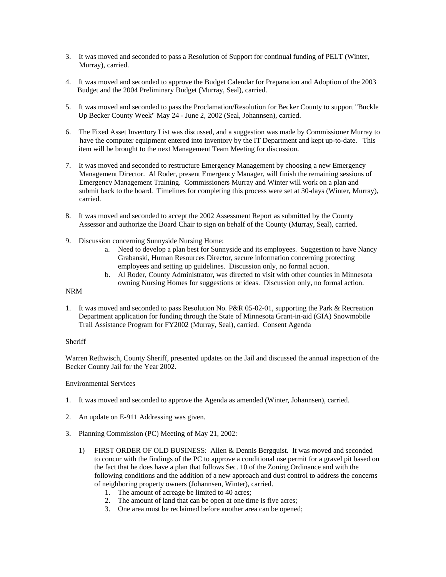- 3. It was moved and seconded to pass a Resolution of Support for continual funding of PELT (Winter, Murray), carried.
- 4. It was moved and seconded to approve the Budget Calendar for Preparation and Adoption of the 2003 Budget and the 2004 Preliminary Budget (Murray, Seal), carried.
- 5. It was moved and seconded to pass the Proclamation/Resolution for Becker County to support "Buckle Up Becker County Week" May 24 - June 2, 2002 (Seal, Johannsen), carried.
- 6. The Fixed Asset Inventory List was discussed, and a suggestion was made by Commissioner Murray to have the computer equipment entered into inventory by the IT Department and kept up-to-date. This item will be brought to the next Management Team Meeting for discussion.
- 7. It was moved and seconded to restructure Emergency Management by choosing a new Emergency Management Director. Al Roder, present Emergency Manager, will finish the remaining sessions of Emergency Management Training. Commissioners Murray and Winter will work on a plan and submit back to the board. Timelines for completing this process were set at 30-days (Winter, Murray), carried.
- 8. It was moved and seconded to accept the 2002 Assessment Report as submitted by the County Assessor and authorize the Board Chair to sign on behalf of the County (Murray, Seal), carried.
- 9. Discussion concerning Sunnyside Nursing Home:
	- a. Need to develop a plan best for Sunnyside and its employees. Suggestion to have Nancy Grabanski, Human Resources Director, secure information concerning protecting employees and setting up guidelines. Discussion only, no formal action.
	- b. Al Roder, County Administrator, was directed to visit with other counties in Minnesota owning Nursing Homes for suggestions or ideas. Discussion only, no formal action.

# NRM

1. It was moved and seconded to pass Resolution No. P&R 05-02-01, supporting the Park & Recreation Department application for funding through the State of Minnesota Grant-in-aid (GIA) Snowmobile Trail Assistance Program for FY2002 (Murray, Seal), carried. Consent Agenda

# **Sheriff**

Warren Rethwisch, County Sheriff, presented updates on the Jail and discussed the annual inspection of the Becker County Jail for the Year 2002.

### Environmental Services

- 1. It was moved and seconded to approve the Agenda as amended (Winter, Johannsen), carried.
- 2. An update on E-911 Addressing was given.
- 3. Planning Commission (PC) Meeting of May 21, 2002:
	- 1) FIRST ORDER OF OLD BUSINESS: Allen & Dennis Bergquist. It was moved and seconded to concur with the findings of the PC to approve a conditional use permit for a gravel pit based on the fact that he does have a plan that follows Sec. 10 of the Zoning Ordinance and with the following conditions and the addition of a new approach and dust control to address the concerns of neighboring property owners (Johannsen, Winter), carried.
		- 1. The amount of acreage be limited to 40 acres;
		- 2. The amount of land that can be open at one time is five acres;
		- 3. One area must be reclaimed before another area can be opened;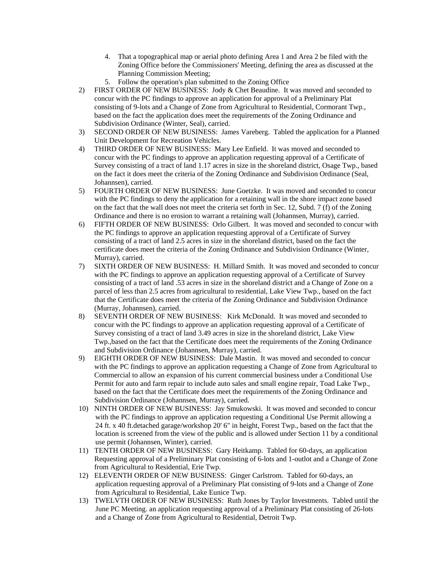- 4. That a topographical map or aerial photo defining Area 1 and Area 2 be filed with the Zoning Office before the Commissioners' Meeting, defining the area as discussed at the Planning Commission Meeting;
- 5. Follow the operation's plan submitted to the Zoning Office
- 2) FIRST ORDER OF NEW BUSINESS: Jody & Chet Beaudine. It was moved and seconded to concur with the PC findings to approve an application for approval of a Preliminary Plat consisting of 9-lots and a Change of Zone from Agricultural to Residential, Cormorant Twp., based on the fact the application does meet the requirements of the Zoning Ordinance and Subdivision Ordinance (Winter, Seal), carried.
- 3) SECOND ORDER OF NEW BUSINESS: James Vareberg. Tabled the application for a Planned Unit Development for Recreation Vehicles.
- 4) THIRD ORDER OF NEW BUSINESS: Mary Lee Enfield. It was moved and seconded to concur with the PC findings to approve an application requesting approval of a Certificate of Survey consisting of a tract of land 1.17 acres in size in the shoreland district, Osage Twp., based on the fact it does meet the criteria of the Zoning Ordinance and Subdivision Ordinance (Seal, Johannsen), carried.
- 5) FOURTH ORDER OF NEW BUSINESS: June Goetzke. It was moved and seconded to concur with the PC findings to deny the application for a retaining wall in the shore impact zone based on the fact that the wall does not meet the criteria set forth in Sec. 12, Subd. 7 (f) of the Zoning Ordinance and there is no erosion to warrant a retaining wall (Johannsen, Murray), carried.
- 6) FIFTH ORDER OF NEW BUSINESS: Orlo Gilbert. It was moved and seconded to concur with the PC findings to approve an application requesting approval of a Certificate of Survey consisting of a tract of land 2.5 acres in size in the shoreland district, based on the fact the certificate does meet the criteria of the Zoning Ordinance and Subdivision Ordinance (Winter, Murray), carried.
- 7) SIXTH ORDER OF NEW BUSINESS: H. Millard Smith. It was moved and seconded to concur with the PC findings to approve an application requesting approval of a Certificate of Survey consisting of a tract of land .53 acres in size in the shoreland district and a Change of Zone on a parcel of less than 2.5 acres from agricultural to residential, Lake View Twp., based on the fact that the Certificate does meet the criteria of the Zoning Ordinance and Subdivision Ordinance (Murray, Johannsen), carried.
- 8) SEVENTH ORDER OF NEW BUSINESS: Kirk McDonald. It was moved and seconded to concur with the PC findings to approve an application requesting approval of a Certificate of Survey consisting of a tract of land 3.49 acres in size in the shoreland district, Lake View Twp.,based on the fact that the Certificate does meet the requirements of the Zoning Ordinance and Subdivision Ordinance (Johannsen, Murray), carried.
- 9) EIGHTH ORDER OF NEW BUSINESS: Dale Mastin. It was moved and seconded to concur with the PC findings to approve an application requesting a Change of Zone from Agricultural to Commercial to allow an expansion of his current commercial business under a Conditional Use Permit for auto and farm repair to include auto sales and small engine repair, Toad Lake Twp., based on the fact that the Certificate does meet the requirements of the Zoning Ordinance and Subdivision Ordinance (Johannsen, Murray), carried.
- 10) NINTH ORDER OF NEW BUSINESS: Jay Smukowski. It was moved and seconded to concur with the PC findings to approve an application requesting a Conditional Use Permit allowing a 24 ft. x 40 ft.detached garage/workshop 20' 6" in height, Forest Twp., based on the fact that the location is screened from the view of the public and is allowed under Section 11 by a conditional use permit (Johannsen, Winter), carried.
- 11) TENTH ORDER OF NEW BUSINESS: Gary Heitkamp. Tabled for 60-days, an application Requesting approval of a Preliminary Plat consisting of 6-lots and 1-outlot and a Change of Zone from Agricultural to Residential, Erie Twp.
- 12) ELEVENTH ORDER OF NEW BUSINESS: Ginger Carlstrom. Tabled for 60-days, an application requesting approval of a Preliminary Plat consisting of 9-lots and a Change of Zone from Agricultural to Residential, Lake Eunice Twp.
- 13) TWELVTH ORDER OF NEW BUSINESS: Ruth Jones by Taylor Investments. Tabled until the June PC Meeting. an application requesting approval of a Preliminary Plat consisting of 26-lots and a Change of Zone from Agricultural to Residential, Detroit Twp.